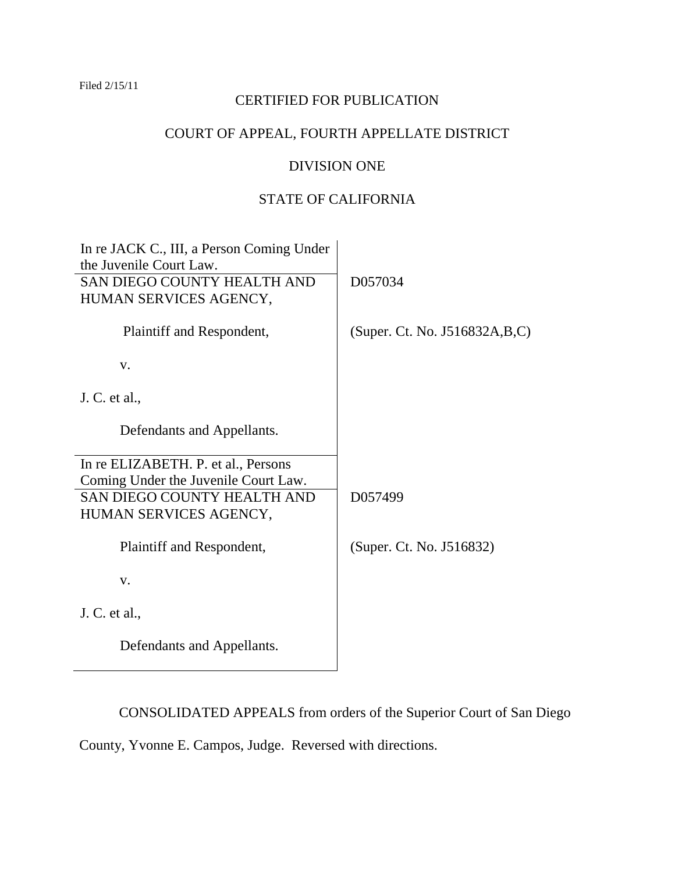## Filed 2/15/11

# CERTIFIED FOR PUBLICATION

# COURT OF APPEAL, FOURTH APPELLATE DISTRICT

# DIVISION ONE

# STATE OF CALIFORNIA

| In re JACK C., III, a Person Coming Under |                                 |
|-------------------------------------------|---------------------------------|
| the Juvenile Court Law.                   |                                 |
| SAN DIEGO COUNTY HEALTH AND               | D057034                         |
| HUMAN SERVICES AGENCY,                    |                                 |
|                                           |                                 |
| Plaintiff and Respondent,                 | (Super. Ct. No. J516832A, B, C) |
|                                           |                                 |
| V.                                        |                                 |
|                                           |                                 |
| J. C. et al.,                             |                                 |
|                                           |                                 |
| Defendants and Appellants.                |                                 |
|                                           |                                 |
| In re ELIZABETH. P. et al., Persons       |                                 |
| Coming Under the Juvenile Court Law.      |                                 |
| SAN DIEGO COUNTY HEALTH AND               | D057499                         |
| HUMAN SERVICES AGENCY,                    |                                 |
|                                           |                                 |
| Plaintiff and Respondent,                 | (Super. Ct. No. J516832)        |
|                                           |                                 |
| V.                                        |                                 |
|                                           |                                 |
| J. C. et al.,                             |                                 |
|                                           |                                 |
| Defendants and Appellants.                |                                 |
|                                           |                                 |
|                                           |                                 |

CONSOLIDATED APPEALS from orders of the Superior Court of San Diego

County, Yvonne E. Campos, Judge. Reversed with directions.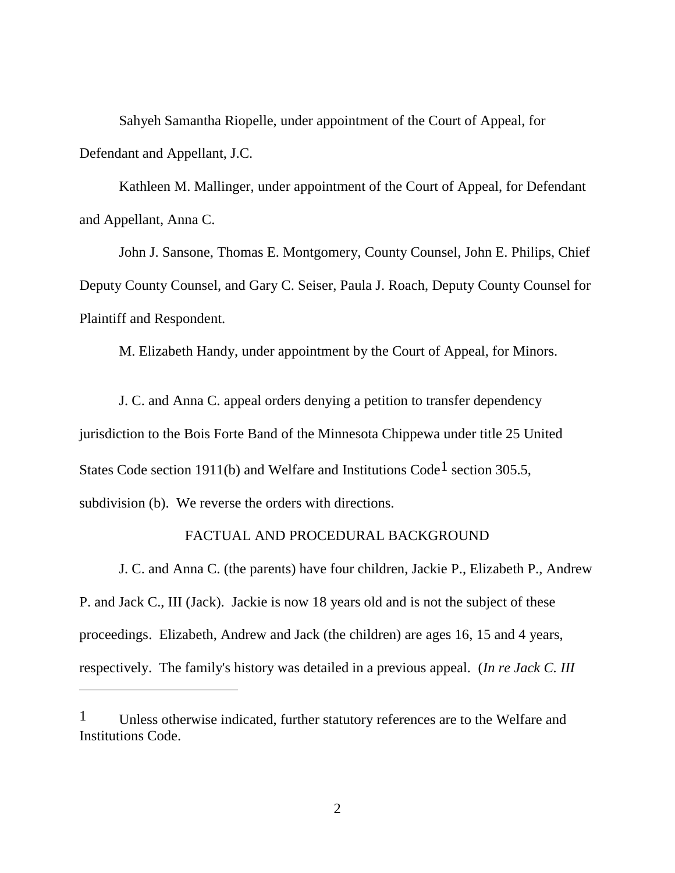Sahyeh Samantha Riopelle, under appointment of the Court of Appeal, for Defendant and Appellant, J.C.

Kathleen M. Mallinger, under appointment of the Court of Appeal, for Defendant and Appellant, Anna C.

John J. Sansone, Thomas E. Montgomery, County Counsel, John E. Philips, Chief Deputy County Counsel, and Gary C. Seiser, Paula J. Roach, Deputy County Counsel for Plaintiff and Respondent.

M. Elizabeth Handy, under appointment by the Court of Appeal, for Minors.

J. C. and Anna C. appeal orders denying a petition to transfer dependency jurisdiction to the Bois Forte Band of the Minnesota Chippewa under title 25 United States Code section 1911(b) and Welfare and Institutions Code<sup>1</sup> section 305.5, subdivision (b). We reverse the orders with directions.

# FACTUAL AND PROCEDURAL BACKGROUND

J. C. and Anna C. (the parents) have four children, Jackie P., Elizabeth P., Andrew P. and Jack C., III (Jack). Jackie is now 18 years old and is not the subject of these proceedings. Elizabeth, Andrew and Jack (the children) are ages 16, 15 and 4 years, respectively. The family's history was detailed in a previous appeal. (*In re Jack C. III* 

<sup>&</sup>lt;sup>1</sup> Unless otherwise indicated, further statutory references are to the Welfare and Institutions Code.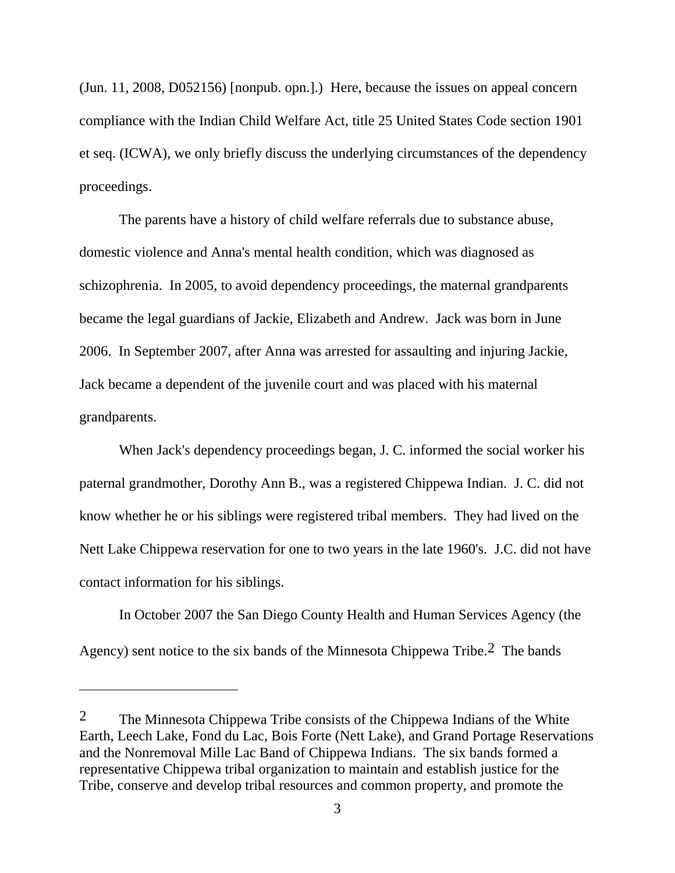(Jun. 11, 2008, D052156) [nonpub. opn.].) Here, because the issues on appeal concern compliance with the Indian Child Welfare Act, title 25 United States Code section 1901 et seq. (ICWA), we only briefly discuss the underlying circumstances of the dependency proceedings.

The parents have a history of child welfare referrals due to substance abuse, domestic violence and Anna's mental health condition, which was diagnosed as schizophrenia. In 2005, to avoid dependency proceedings, the maternal grandparents became the legal guardians of Jackie, Elizabeth and Andrew. Jack was born in June 2006. In September 2007, after Anna was arrested for assaulting and injuring Jackie, Jack became a dependent of the juvenile court and was placed with his maternal grandparents.

When Jack's dependency proceedings began, J. C. informed the social worker his paternal grandmother, Dorothy Ann B., was a registered Chippewa Indian. J. C. did not know whether he or his siblings were registered tribal members. They had lived on the Nett Lake Chippewa reservation for one to two years in the late 1960's. J.C. did not have contact information for his siblings.

In October 2007 the San Diego County Health and Human Services Agency (the Agency) sent notice to the six bands of the Minnesota Chippewa Tribe.2 The bands

<sup>2</sup> The Minnesota Chippewa Tribe consists of the Chippewa Indians of the White Earth, Leech Lake, Fond du Lac, Bois Forte (Nett Lake), and Grand Portage Reservations and the Nonremoval Mille Lac Band of Chippewa Indians. The six bands formed a representative Chippewa tribal organization to maintain and establish justice for the Tribe, conserve and develop tribal resources and common property, and promote the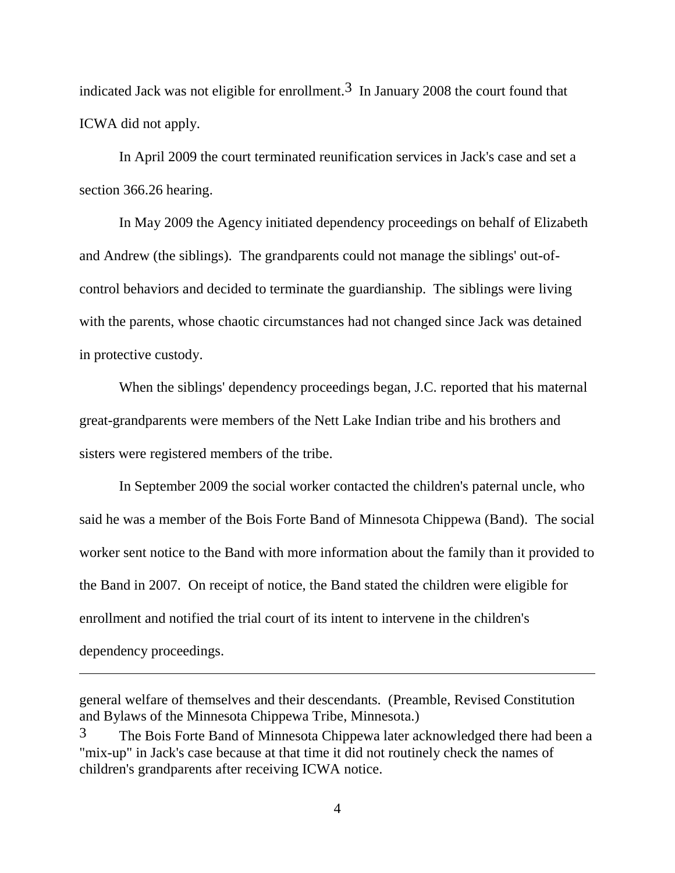indicated Jack was not eligible for enrollment.<sup>3</sup> In January 2008 the court found that ICWA did not apply.

In April 2009 the court terminated reunification services in Jack's case and set a section 366.26 hearing.

In May 2009 the Agency initiated dependency proceedings on behalf of Elizabeth and Andrew (the siblings). The grandparents could not manage the siblings' out-ofcontrol behaviors and decided to terminate the guardianship. The siblings were living with the parents, whose chaotic circumstances had not changed since Jack was detained in protective custody.

When the siblings' dependency proceedings began, J.C. reported that his maternal great-grandparents were members of the Nett Lake Indian tribe and his brothers and sisters were registered members of the tribe.

 In September 2009 the social worker contacted the children's paternal uncle, who said he was a member of the Bois Forte Band of Minnesota Chippewa (Band). The social worker sent notice to the Band with more information about the family than it provided to the Band in 2007. On receipt of notice, the Band stated the children were eligible for enrollment and notified the trial court of its intent to intervene in the children's dependency proceedings.

general welfare of themselves and their descendants. (Preamble, Revised Constitution and Bylaws of the Minnesota Chippewa Tribe, Minnesota.)

 $3$  The Bois Forte Band of Minnesota Chippewa later acknowledged there had been a "mix-up" in Jack's case because at that time it did not routinely check the names of children's grandparents after receiving ICWA notice.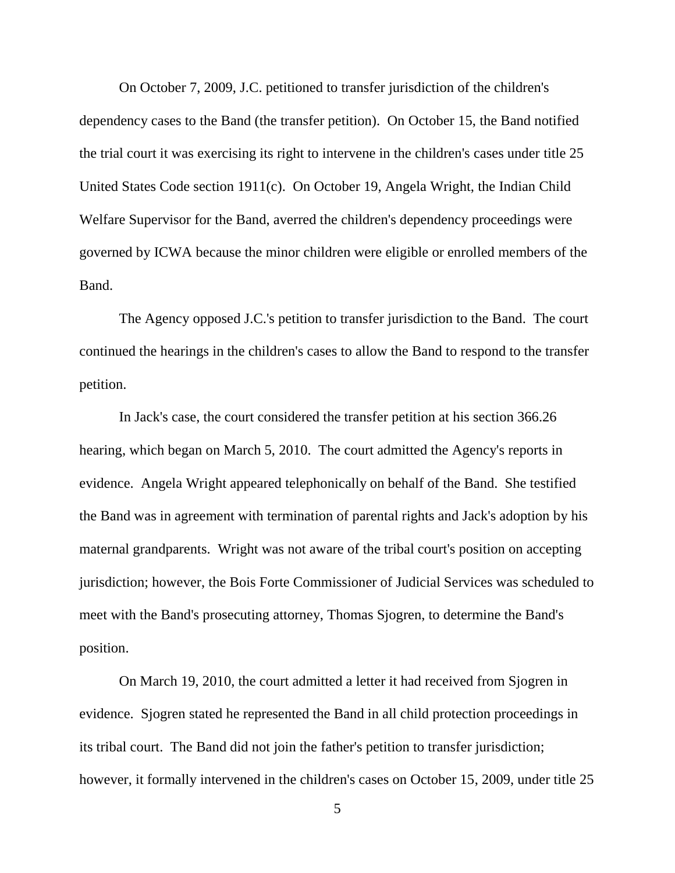On October 7, 2009, J.C. petitioned to transfer jurisdiction of the children's dependency cases to the Band (the transfer petition). On October 15, the Band notified the trial court it was exercising its right to intervene in the children's cases under title 25 United States Code section 1911(c). On October 19, Angela Wright, the Indian Child Welfare Supervisor for the Band, averred the children's dependency proceedings were governed by ICWA because the minor children were eligible or enrolled members of the Band.

The Agency opposed J.C.'s petition to transfer jurisdiction to the Band. The court continued the hearings in the children's cases to allow the Band to respond to the transfer petition.

In Jack's case, the court considered the transfer petition at his section 366.26 hearing, which began on March 5, 2010. The court admitted the Agency's reports in evidence. Angela Wright appeared telephonically on behalf of the Band. She testified the Band was in agreement with termination of parental rights and Jack's adoption by his maternal grandparents. Wright was not aware of the tribal court's position on accepting jurisdiction; however, the Bois Forte Commissioner of Judicial Services was scheduled to meet with the Band's prosecuting attorney, Thomas Sjogren, to determine the Band's position.

On March 19, 2010, the court admitted a letter it had received from Sjogren in evidence. Sjogren stated he represented the Band in all child protection proceedings in its tribal court. The Band did not join the father's petition to transfer jurisdiction; however, it formally intervened in the children's cases on October 15, 2009, under title 25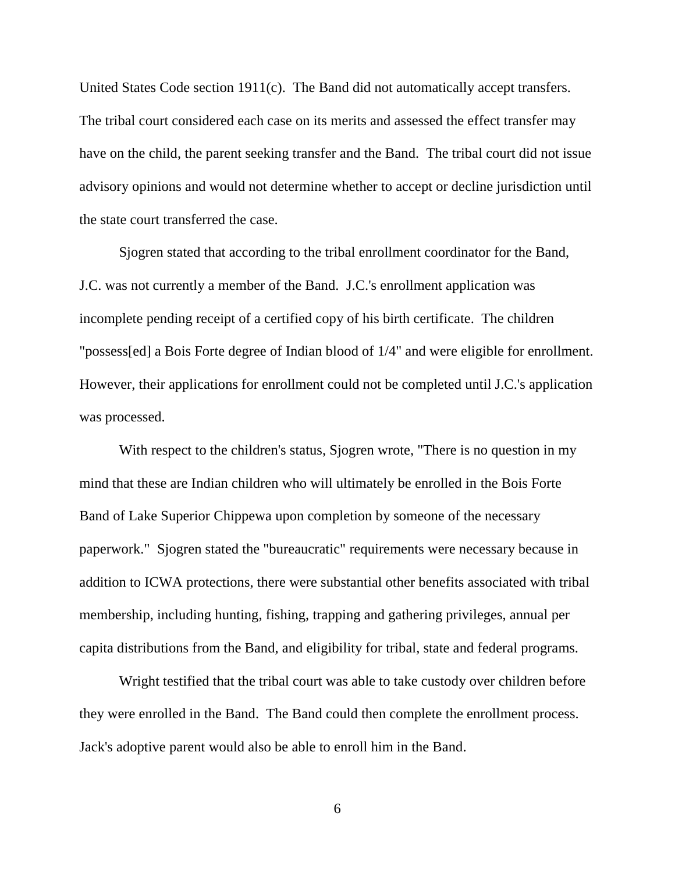United States Code section 1911(c). The Band did not automatically accept transfers. The tribal court considered each case on its merits and assessed the effect transfer may have on the child, the parent seeking transfer and the Band. The tribal court did not issue advisory opinions and would not determine whether to accept or decline jurisdiction until the state court transferred the case.

Sjogren stated that according to the tribal enrollment coordinator for the Band, J.C. was not currently a member of the Band. J.C.'s enrollment application was incomplete pending receipt of a certified copy of his birth certificate. The children "possess[ed] a Bois Forte degree of Indian blood of 1/4" and were eligible for enrollment. However, their applications for enrollment could not be completed until J.C.'s application was processed.

With respect to the children's status, Sjogren wrote, "There is no question in my mind that these are Indian children who will ultimately be enrolled in the Bois Forte Band of Lake Superior Chippewa upon completion by someone of the necessary paperwork." Sjogren stated the "bureaucratic" requirements were necessary because in addition to ICWA protections, there were substantial other benefits associated with tribal membership, including hunting, fishing, trapping and gathering privileges, annual per capita distributions from the Band, and eligibility for tribal, state and federal programs.

Wright testified that the tribal court was able to take custody over children before they were enrolled in the Band. The Band could then complete the enrollment process. Jack's adoptive parent would also be able to enroll him in the Band.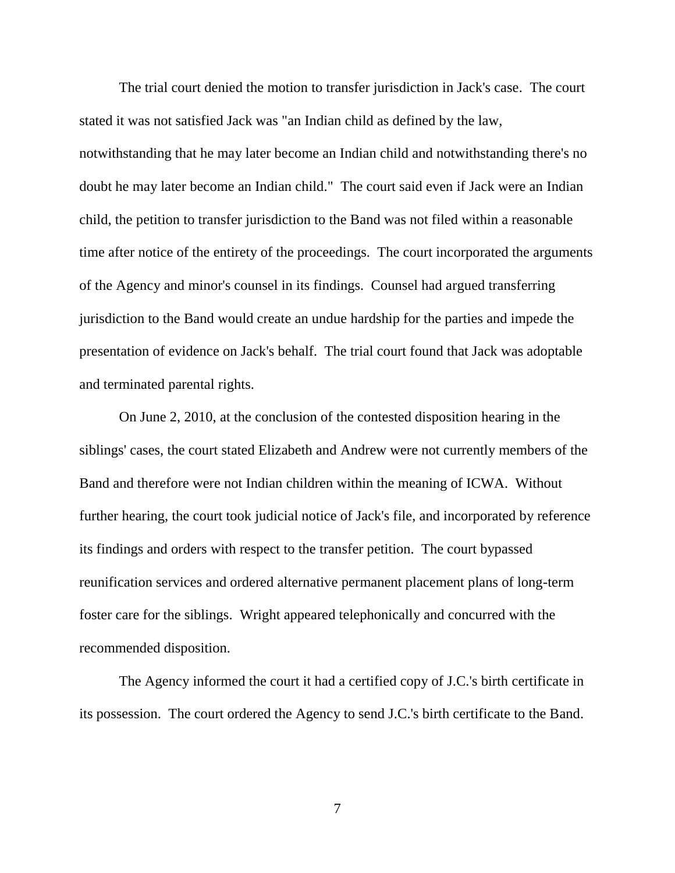The trial court denied the motion to transfer jurisdiction in Jack's case. The court stated it was not satisfied Jack was "an Indian child as defined by the law, notwithstanding that he may later become an Indian child and notwithstanding there's no doubt he may later become an Indian child." The court said even if Jack were an Indian child, the petition to transfer jurisdiction to the Band was not filed within a reasonable time after notice of the entirety of the proceedings. The court incorporated the arguments of the Agency and minor's counsel in its findings. Counsel had argued transferring jurisdiction to the Band would create an undue hardship for the parties and impede the presentation of evidence on Jack's behalf. The trial court found that Jack was adoptable and terminated parental rights.

On June 2, 2010, at the conclusion of the contested disposition hearing in the siblings' cases, the court stated Elizabeth and Andrew were not currently members of the Band and therefore were not Indian children within the meaning of ICWA. Without further hearing, the court took judicial notice of Jack's file, and incorporated by reference its findings and orders with respect to the transfer petition. The court bypassed reunification services and ordered alternative permanent placement plans of long-term foster care for the siblings. Wright appeared telephonically and concurred with the recommended disposition.

The Agency informed the court it had a certified copy of J.C.'s birth certificate in its possession. The court ordered the Agency to send J.C.'s birth certificate to the Band.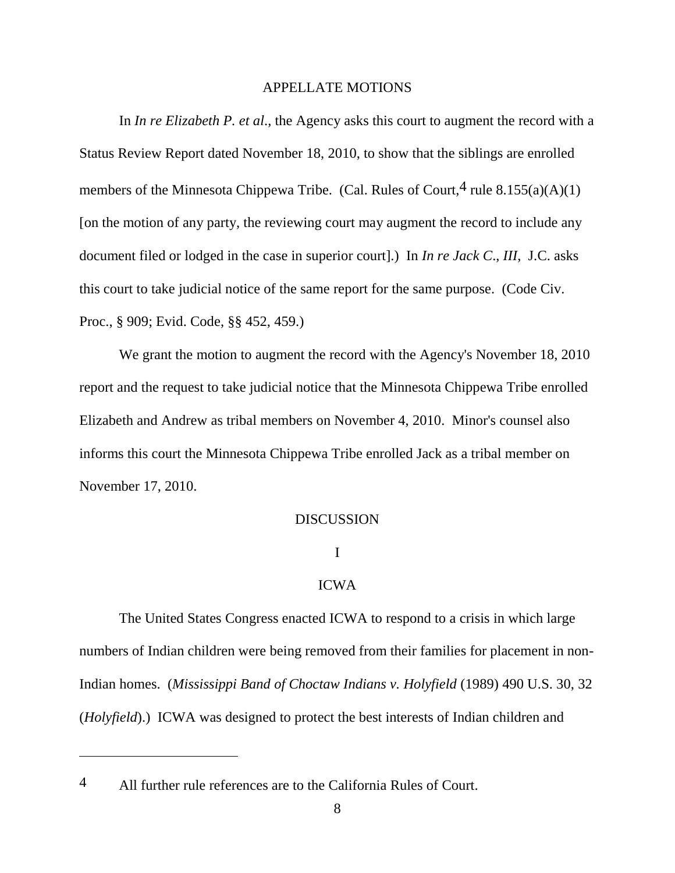#### APPELLATE MOTIONS

In *In re Elizabeth P. et al*., the Agency asks this court to augment the record with a Status Review Report dated November 18, 2010, to show that the siblings are enrolled members of the Minnesota Chippewa Tribe. (Cal. Rules of Court, <sup>4</sup> rule 8.155(a)(A)(1) [on the motion of any party, the reviewing court may augment the record to include any document filed or lodged in the case in superior court].) In *In re Jack C*., *III*, J.C. asks this court to take judicial notice of the same report for the same purpose. (Code Civ. Proc., § 909; Evid. Code, §§ 452, 459.)

We grant the motion to augment the record with the Agency's November 18, 2010 report and the request to take judicial notice that the Minnesota Chippewa Tribe enrolled Elizabeth and Andrew as tribal members on November 4, 2010. Minor's counsel also informs this court the Minnesota Chippewa Tribe enrolled Jack as a tribal member on November 17, 2010.

## DISCUSSION

# I

## ICWA

The United States Congress enacted ICWA to respond to a crisis in which large numbers of Indian children were being removed from their families for placement in non-Indian homes. (*Mississippi Band of Choctaw Indians v. Holyfield* (1989) 490 U.S. 30, 32 (*Holyfield*).) ICWA was designed to protect the best interests of Indian children and

<sup>4</sup> All further rule references are to the California Rules of Court.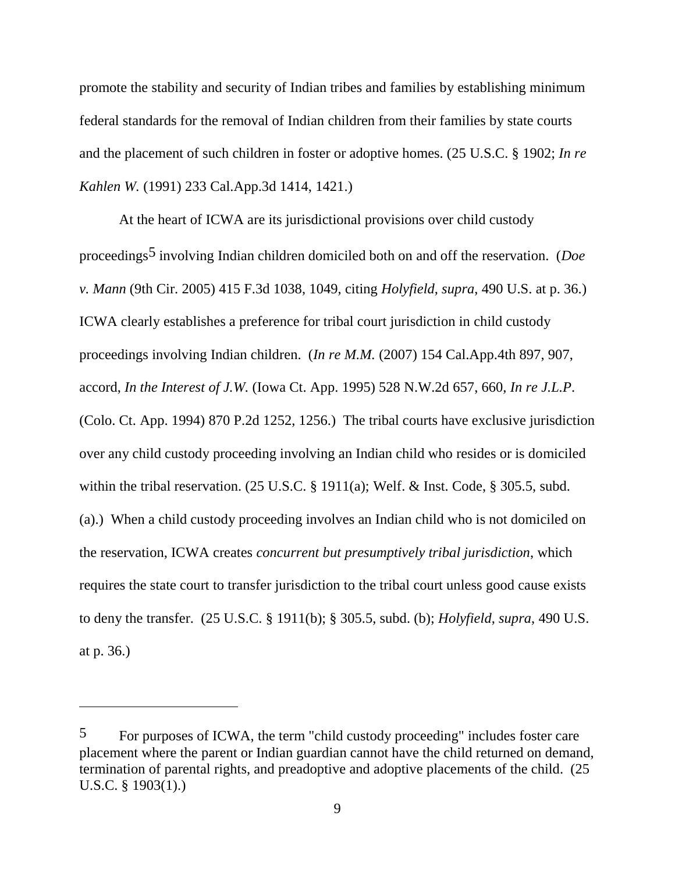promote the stability and security of Indian tribes and families by establishing minimum federal standards for the removal of Indian children from their families by state courts and the placement of such children in foster or adoptive homes. (25 U.S.C. § 1902; *In re Kahlen W.* (1991) 233 Cal.App.3d 1414, 1421.)

At the heart of ICWA are its jurisdictional provisions over child custody proceedings5 involving Indian children domiciled both on and off the reservation. (*Doe v. Mann* (9th Cir. 2005) 415 F.3d 1038, 1049, citing *Holyfield*, *supra*, 490 U.S. at p. 36.) ICWA clearly establishes a preference for tribal court jurisdiction in child custody proceedings involving Indian children. (*In re M.M.* (2007) 154 Cal.App.4th 897, 907, accord, *In the Interest of J.W.* (Iowa Ct. App. 1995) 528 N.W.2d 657, 660, *In re J.L.P*. (Colo. Ct. App. 1994) 870 P.2d 1252, 1256.) The tribal courts have exclusive jurisdiction over any child custody proceeding involving an Indian child who resides or is domiciled within the tribal reservation. (25 U.S.C. § 1911(a); Welf. & Inst. Code, § 305.5, subd. (a).) When a child custody proceeding involves an Indian child who is not domiciled on the reservation, ICWA creates *concurrent but presumptively tribal jurisdiction*, which requires the state court to transfer jurisdiction to the tribal court unless good cause exists to deny the transfer. (25 U.S.C. § 1911(b); § 305.5, subd. (b); *Holyfield*, *supra*, 490 U.S. at p. 36.)

<sup>5</sup> For purposes of ICWA, the term "child custody proceeding" includes foster care placement where the parent or Indian guardian cannot have the child returned on demand, termination of parental rights, and preadoptive and adoptive placements of the child. (25 U.S.C. § 1903(1).)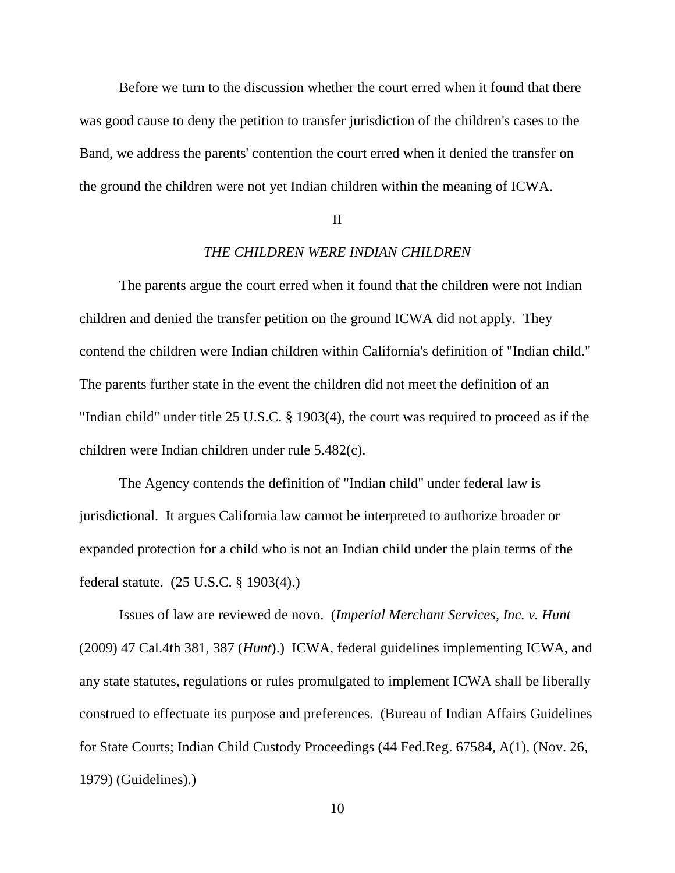Before we turn to the discussion whether the court erred when it found that there was good cause to deny the petition to transfer jurisdiction of the children's cases to the Band, we address the parents' contention the court erred when it denied the transfer on the ground the children were not yet Indian children within the meaning of ICWA.

#### II

# *THE CHILDREN WERE INDIAN CHILDREN*

The parents argue the court erred when it found that the children were not Indian children and denied the transfer petition on the ground ICWA did not apply. They contend the children were Indian children within California's definition of "Indian child." The parents further state in the event the children did not meet the definition of an "Indian child" under title 25 U.S.C. § 1903(4), the court was required to proceed as if the children were Indian children under rule 5.482(c).

The Agency contends the definition of "Indian child" under federal law is jurisdictional. It argues California law cannot be interpreted to authorize broader or expanded protection for a child who is not an Indian child under the plain terms of the federal statute. (25 U.S.C. § 1903(4).)

Issues of law are reviewed de novo. (*Imperial Merchant Services, Inc. v. Hunt* (2009) 47 Cal.4th 381, 387 (*Hunt*).) ICWA, federal guidelines implementing ICWA, and any state statutes, regulations or rules promulgated to implement ICWA shall be liberally construed to effectuate its purpose and preferences. (Bureau of Indian Affairs Guidelines for State Courts; Indian Child Custody Proceedings (44 Fed.Reg. 67584, A(1), (Nov. 26, 1979) (Guidelines).)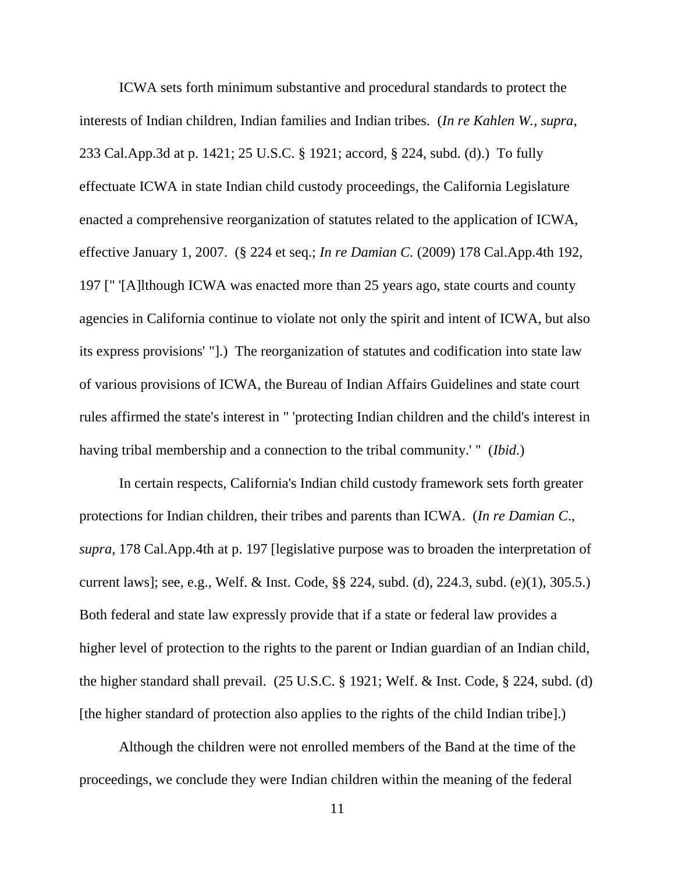ICWA sets forth minimum substantive and procedural standards to protect the interests of Indian children, Indian families and Indian tribes. (*In re Kahlen W., supra*, 233 Cal.App.3d at p. 1421; 25 U.S.C. § 1921; accord, § 224, subd. (d).) To fully effectuate ICWA in state Indian child custody proceedings, the California Legislature enacted a comprehensive reorganization of statutes related to the application of ICWA, effective January 1, 2007. (§ 224 et seq.; *In re Damian C.* (2009) 178 Cal.App.4th 192, 197 [" '[A]lthough ICWA was enacted more than 25 years ago, state courts and county agencies in California continue to violate not only the spirit and intent of ICWA, but also its express provisions' "].) The reorganization of statutes and codification into state law of various provisions of ICWA, the Bureau of Indian Affairs Guidelines and state court rules affirmed the state's interest in " 'protecting Indian children and the child's interest in having tribal membership and a connection to the tribal community.' " (*Ibid*.)

In certain respects, California's Indian child custody framework sets forth greater protections for Indian children, their tribes and parents than ICWA. (*In re Damian C*., *supra*, 178 Cal.App.4th at p. 197 [legislative purpose was to broaden the interpretation of current laws]; see, e.g., Welf. & Inst. Code, §§ 224, subd. (d), 224.3, subd. (e)(1), 305.5.) Both federal and state law expressly provide that if a state or federal law provides a higher level of protection to the rights to the parent or Indian guardian of an Indian child, the higher standard shall prevail. (25 U.S.C. § 1921; Welf. & Inst. Code, § 224, subd. (d) [the higher standard of protection also applies to the rights of the child Indian tribe].)

Although the children were not enrolled members of the Band at the time of the proceedings, we conclude they were Indian children within the meaning of the federal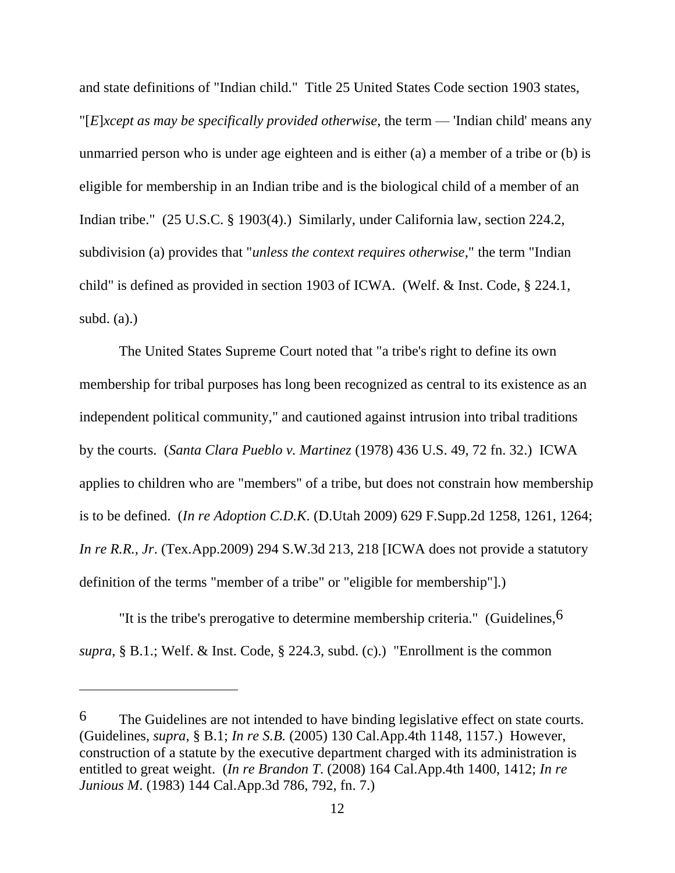and state definitions of "Indian child." Title 25 United States Code section 1903 states, "[*E*]*xcept as may be specifically provided otherwise*, the term — 'Indian child' means any unmarried person who is under age eighteen and is either (a) a member of a tribe or (b) is eligible for membership in an Indian tribe and is the biological child of a member of an Indian tribe." (25 U.S.C. § 1903(4).) Similarly, under California law, section 224.2, subdivision (a) provides that "*unless the context requires otherwise*," the term "Indian child" is defined as provided in section 1903 of ICWA. (Welf. & Inst. Code, § 224.1, subd.  $(a)$ .)

The United States Supreme Court noted that "a tribe's right to define its own membership for tribal purposes has long been recognized as central to its existence as an independent political community," and cautioned against intrusion into tribal traditions by the courts. (*Santa Clara Pueblo v. Martinez* (1978) 436 U.S. 49, 72 fn. 32.) ICWA applies to children who are "members" of a tribe, but does not constrain how membership is to be defined. (*In re Adoption C.D.K*. (D.Utah 2009) 629 F.Supp.2d 1258, 1261, 1264; *In re R.R., Jr.* (Tex.App.2009) 294 S.W.3d 213, 218 [ICWA does not provide a statutory definition of the terms "member of a tribe" or "eligible for membership"].)

"It is the tribe's prerogative to determine membership criteria." (Guidelines,  $6$ ) *supra*, § B.1.; Welf. & Inst. Code, § 224.3, subd. (c).) "Enrollment is the common

<sup>6</sup> The Guidelines are not intended to have binding legislative effect on state courts. (Guidelines, *supra*, § B.1; *In re S.B.* (2005) 130 Cal.App.4th 1148, 1157.) However, construction of a statute by the executive department charged with its administration is entitled to great weight. (*In re Brandon T*. (2008) 164 Cal.App.4th 1400, 1412; *In re Junious M*. (1983) 144 Cal.App.3d 786, 792, fn. 7.)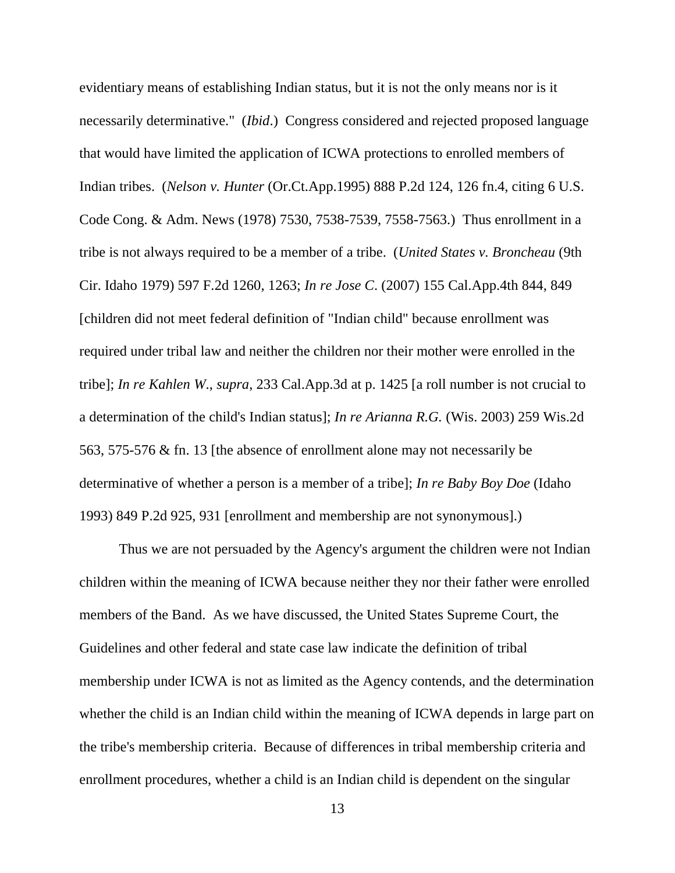evidentiary means of establishing Indian status, but it is not the only means nor is it necessarily determinative." (*Ibid*.) Congress considered and rejected proposed language that would have limited the application of ICWA protections to enrolled members of Indian tribes. (*Nelson v. Hunter* (Or.Ct.App.1995) 888 P.2d 124, 126 fn.4, citing 6 U.S. Code Cong. & Adm. News (1978) 7530, 7538-7539, 7558-7563.) Thus enrollment in a tribe is not always required to be a member of a tribe. (*United States v. Broncheau* (9th Cir. Idaho 1979) 597 F.2d 1260, 1263; *In re Jose C*. (2007) 155 Cal.App.4th 844, 849 [children did not meet federal definition of "Indian child" because enrollment was required under tribal law and neither the children nor their mother were enrolled in the tribe]; *In re Kahlen W*., *supra*, 233 Cal.App.3d at p. 1425 [a roll number is not crucial to a determination of the child's Indian status]; *In re Arianna R.G.* (Wis. 2003) 259 Wis.2d 563, 575-576 & fn. 13 [the absence of enrollment alone may not necessarily be determinative of whether a person is a member of a tribe]; *In re Baby Boy Doe* (Idaho 1993) 849 P.2d 925, 931 [enrollment and membership are not synonymous].)

Thus we are not persuaded by the Agency's argument the children were not Indian children within the meaning of ICWA because neither they nor their father were enrolled members of the Band. As we have discussed, the United States Supreme Court, the Guidelines and other federal and state case law indicate the definition of tribal membership under ICWA is not as limited as the Agency contends, and the determination whether the child is an Indian child within the meaning of ICWA depends in large part on the tribe's membership criteria. Because of differences in tribal membership criteria and enrollment procedures, whether a child is an Indian child is dependent on the singular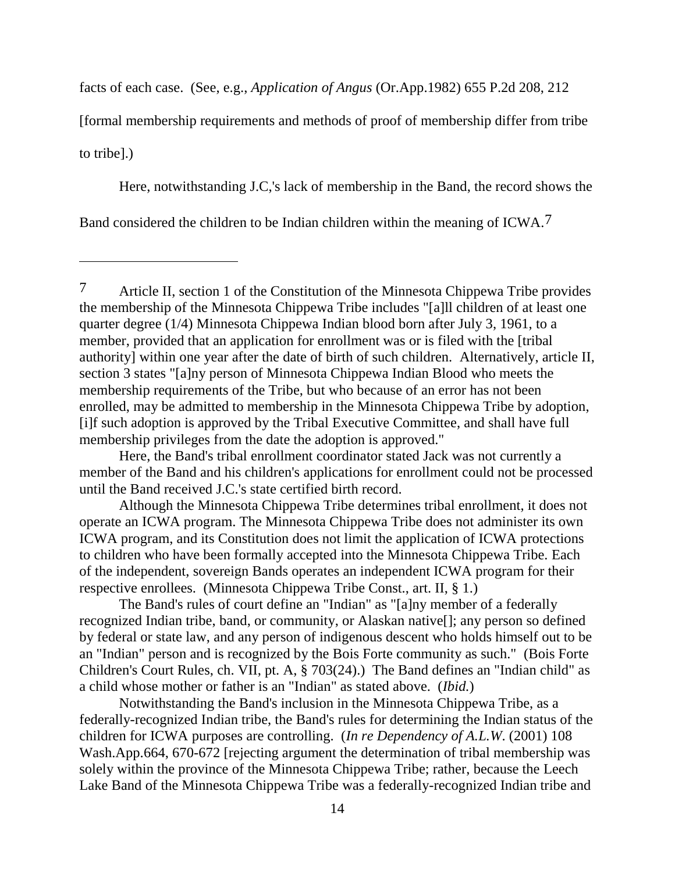facts of each case. (See, e.g., *Application of Angus* (Or.App.1982) 655 P.2d 208, 212

[formal membership requirements and methods of proof of membership differ from tribe to tribe].)

Here, notwithstanding J.C,'s lack of membership in the Band, the record shows the

Band considered the children to be Indian children within the meaning of ICWA.7

 $\overline{a}$ 

Here, the Band's tribal enrollment coordinator stated Jack was not currently a member of the Band and his children's applications for enrollment could not be processed until the Band received J.C.'s state certified birth record.

Although the Minnesota Chippewa Tribe determines tribal enrollment, it does not operate an ICWA program. The Minnesota Chippewa Tribe does not administer its own ICWA program, and its Constitution does not limit the application of ICWA protections to children who have been formally accepted into the Minnesota Chippewa Tribe. Each of the independent, sovereign Bands operates an independent ICWA program for their respective enrollees. (Minnesota Chippewa Tribe Const., art. II, § 1.)

The Band's rules of court define an "Indian" as "[a]ny member of a federally recognized Indian tribe, band, or community, or Alaskan native[]; any person so defined by federal or state law, and any person of indigenous descent who holds himself out to be an "Indian" person and is recognized by the Bois Forte community as such." (Bois Forte Children's Court Rules, ch. VII, pt. A, § 703(24).) The Band defines an "Indian child" as a child whose mother or father is an "Indian" as stated above. (*Ibid.*)

Notwithstanding the Band's inclusion in the Minnesota Chippewa Tribe, as a federally-recognized Indian tribe, the Band's rules for determining the Indian status of the children for ICWA purposes are controlling. (*In re Dependency of A.L.W*. (2001) 108 Wash.App.664, 670-672 [rejecting argument the determination of tribal membership was solely within the province of the Minnesota Chippewa Tribe; rather, because the Leech Lake Band of the Minnesota Chippewa Tribe was a federally-recognized Indian tribe and

<sup>7</sup> Article II, section 1 of the Constitution of the Minnesota Chippewa Tribe provides the membership of the Minnesota Chippewa Tribe includes "[a]ll children of at least one quarter degree (1/4) Minnesota Chippewa Indian blood born after July 3, 1961, to a member, provided that an application for enrollment was or is filed with the [tribal authority] within one year after the date of birth of such children. Alternatively, article II, section 3 states "[a]ny person of Minnesota Chippewa Indian Blood who meets the membership requirements of the Tribe, but who because of an error has not been enrolled, may be admitted to membership in the Minnesota Chippewa Tribe by adoption, [i]f such adoption is approved by the Tribal Executive Committee, and shall have full membership privileges from the date the adoption is approved."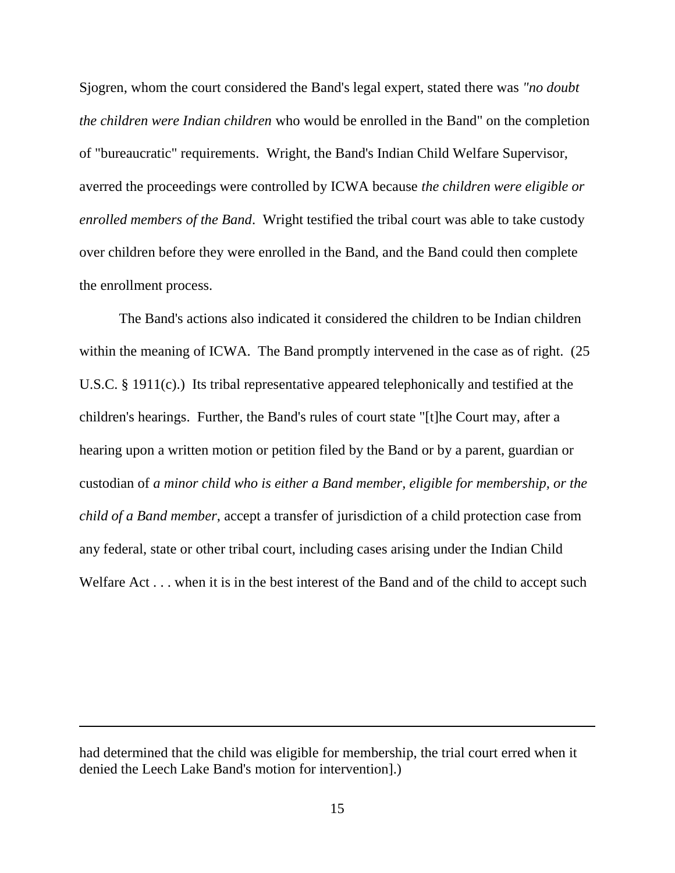Sjogren, whom the court considered the Band's legal expert, stated there was *"no doubt the children were Indian children* who would be enrolled in the Band" on the completion of "bureaucratic" requirements. Wright, the Band's Indian Child Welfare Supervisor, averred the proceedings were controlled by ICWA because *the children were eligible or enrolled members of the Band*. Wright testified the tribal court was able to take custody over children before they were enrolled in the Band, and the Band could then complete the enrollment process.

The Band's actions also indicated it considered the children to be Indian children within the meaning of ICWA. The Band promptly intervened in the case as of right. (25 U.S.C. § 1911(c).) Its tribal representative appeared telephonically and testified at the children's hearings. Further, the Band's rules of court state "[t]he Court may, after a hearing upon a written motion or petition filed by the Band or by a parent, guardian or custodian of *a minor child who is either a Band member, eligible for membership, or the child of a Band member*, accept a transfer of jurisdiction of a child protection case from any federal, state or other tribal court, including cases arising under the Indian Child Welfare Act . . . when it is in the best interest of the Band and of the child to accept such

had determined that the child was eligible for membership, the trial court erred when it denied the Leech Lake Band's motion for intervention].)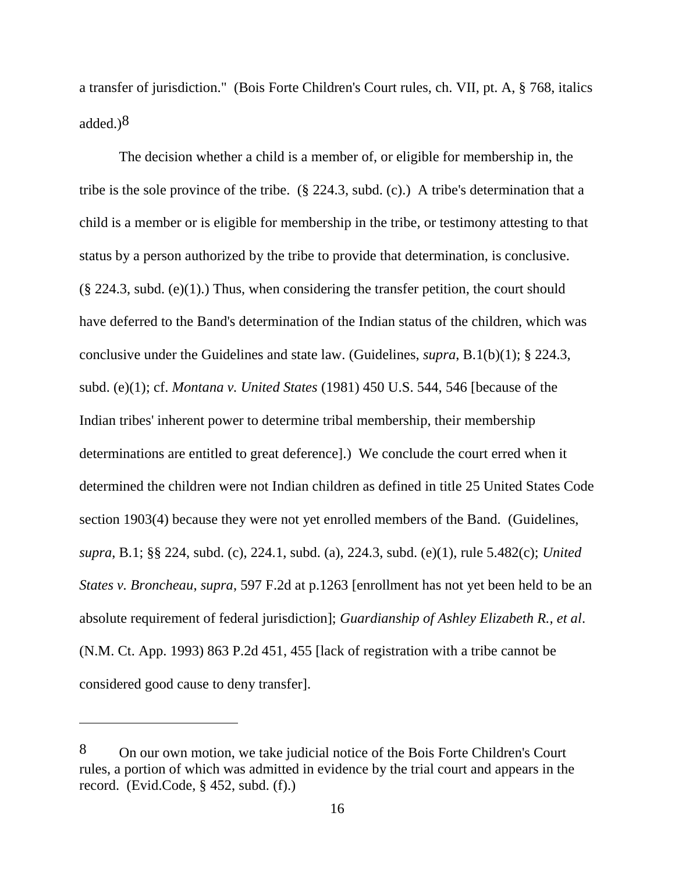a transfer of jurisdiction." (Bois Forte Children's Court rules, ch. VII, pt. A, § 768, italics added. $)^8$ 

The decision whether a child is a member of, or eligible for membership in, the tribe is the sole province of the tribe. (§ 224.3, subd. (c).) A tribe's determination that a child is a member or is eligible for membership in the tribe, or testimony attesting to that status by a person authorized by the tribe to provide that determination, is conclusive.  $(\S$  224.3, subd. (e)(1).) Thus, when considering the transfer petition, the court should have deferred to the Band's determination of the Indian status of the children, which was conclusive under the Guidelines and state law. (Guidelines, *supra*, B.1(b)(1); § 224.3, subd. (e)(1); cf. *Montana v. United States* (1981) 450 U.S. 544, 546 [because of the Indian tribes' inherent power to determine tribal membership, their membership determinations are entitled to great deference].) We conclude the court erred when it determined the children were not Indian children as defined in title 25 United States Code section 1903(4) because they were not yet enrolled members of the Band. (Guidelines, *supra*, B.1; §§ 224, subd. (c), 224.1, subd. (a), 224.3, subd. (e)(1), rule 5.482(c); *United States v. Broncheau*, *supra*, 597 F.2d at p.1263 [enrollment has not yet been held to be an absolute requirement of federal jurisdiction]; *Guardianship of Ashley Elizabeth R., et al*. (N.M. Ct. App. 1993) 863 P.2d 451, 455 [lack of registration with a tribe cannot be considered good cause to deny transfer].

<sup>8</sup> On our own motion, we take judicial notice of the Bois Forte Children's Court rules, a portion of which was admitted in evidence by the trial court and appears in the record. (Evid.Code, § 452, subd. (f).)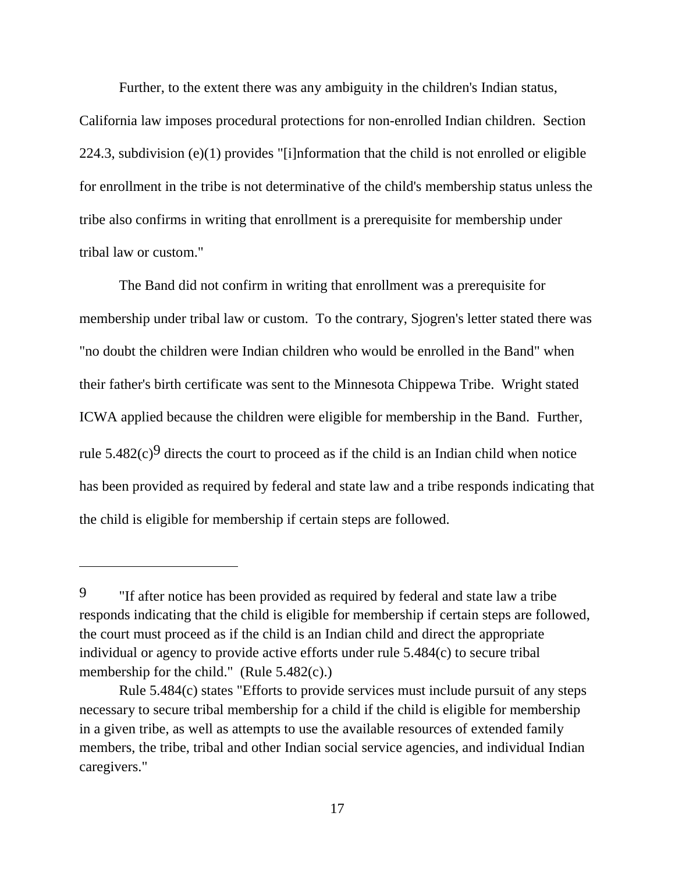Further, to the extent there was any ambiguity in the children's Indian status,

California law imposes procedural protections for non-enrolled Indian children. Section 224.3, subdivision (e)(1) provides "[i]nformation that the child is not enrolled or eligible for enrollment in the tribe is not determinative of the child's membership status unless the tribe also confirms in writing that enrollment is a prerequisite for membership under tribal law or custom."

The Band did not confirm in writing that enrollment was a prerequisite for membership under tribal law or custom. To the contrary, Sjogren's letter stated there was "no doubt the children were Indian children who would be enrolled in the Band" when their father's birth certificate was sent to the Minnesota Chippewa Tribe. Wright stated ICWA applied because the children were eligible for membership in the Band. Further, rule  $5.482(c)^9$  directs the court to proceed as if the child is an Indian child when notice has been provided as required by federal and state law and a tribe responds indicating that the child is eligible for membership if certain steps are followed.

<sup>9</sup> "If after notice has been provided as required by federal and state law a tribe responds indicating that the child is eligible for membership if certain steps are followed, the court must proceed as if the child is an Indian child and direct the appropriate individual or agency to provide active efforts under rule 5.484(c) to secure tribal membership for the child." (Rule 5.482(c).)

Rule 5.484(c) states "Efforts to provide services must include pursuit of any steps necessary to secure tribal membership for a child if the child is eligible for membership in a given tribe, as well as attempts to use the available resources of extended family members, the tribe, tribal and other Indian social service agencies, and individual Indian caregivers."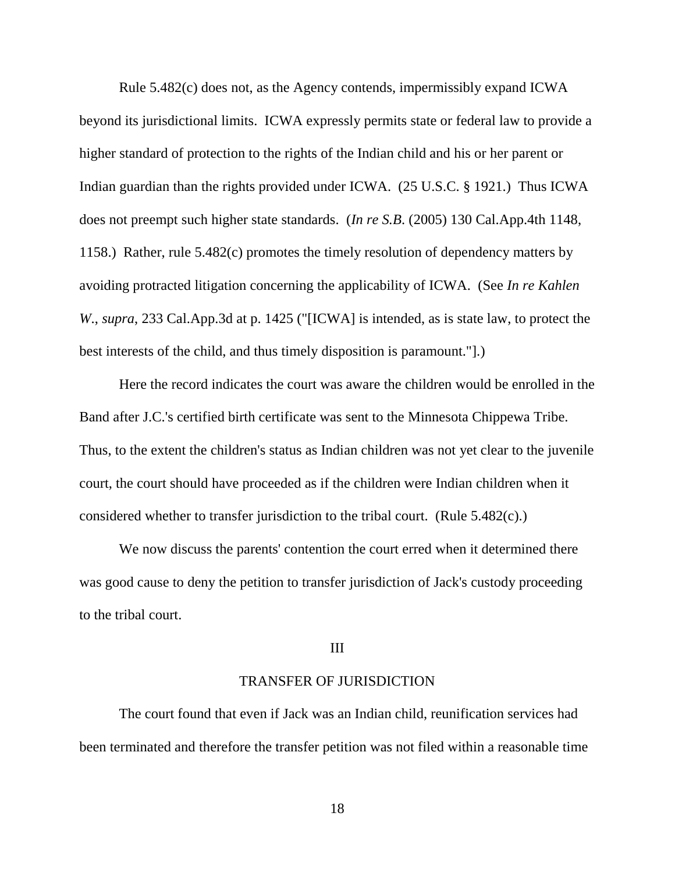Rule 5.482(c) does not, as the Agency contends, impermissibly expand ICWA beyond its jurisdictional limits. ICWA expressly permits state or federal law to provide a higher standard of protection to the rights of the Indian child and his or her parent or Indian guardian than the rights provided under ICWA. (25 U.S.C. § 1921.) Thus ICWA does not preempt such higher state standards. (*In re S.B*. (2005) 130 Cal.App.4th 1148, 1158.) Rather, rule 5.482(c) promotes the timely resolution of dependency matters by avoiding protracted litigation concerning the applicability of ICWA. (See *In re Kahlen W*., *supra*, 233 Cal.App.3d at p. 1425 ("[ICWA] is intended, as is state law, to protect the best interests of the child, and thus timely disposition is paramount."].)

Here the record indicates the court was aware the children would be enrolled in the Band after J.C.'s certified birth certificate was sent to the Minnesota Chippewa Tribe. Thus, to the extent the children's status as Indian children was not yet clear to the juvenile court, the court should have proceeded as if the children were Indian children when it considered whether to transfer jurisdiction to the tribal court. (Rule 5.482(c).)

We now discuss the parents' contention the court erred when it determined there was good cause to deny the petition to transfer jurisdiction of Jack's custody proceeding to the tribal court.

#### III

# TRANSFER OF JURISDICTION

The court found that even if Jack was an Indian child, reunification services had been terminated and therefore the transfer petition was not filed within a reasonable time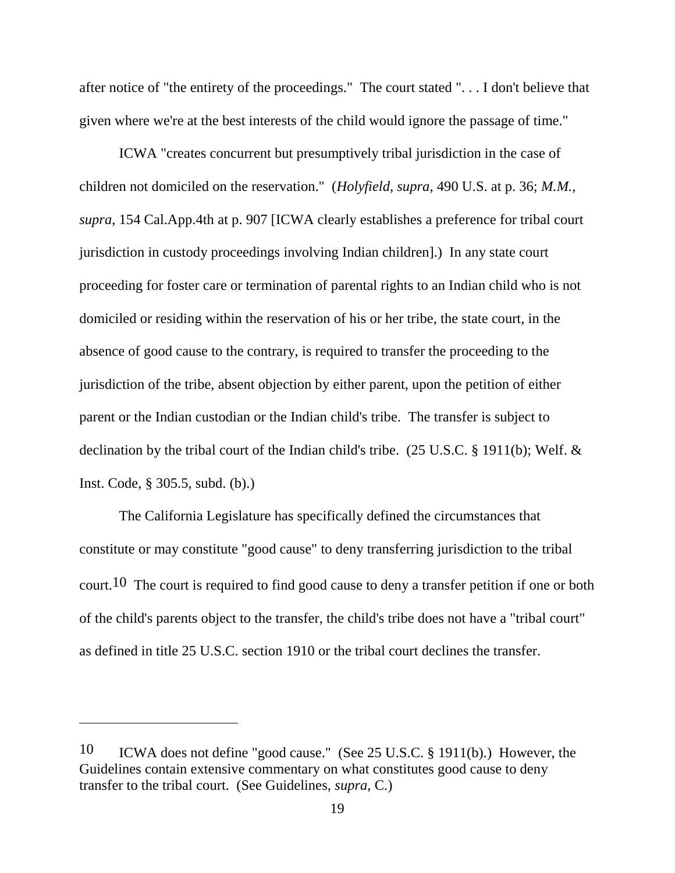after notice of "the entirety of the proceedings." The court stated ". . . I don't believe that given where we're at the best interests of the child would ignore the passage of time."

ICWA "creates concurrent but presumptively tribal jurisdiction in the case of children not domiciled on the reservation." (*Holyfield*, *supra*, 490 U.S. at p. 36; *M.M.*, *supra*, 154 Cal.App.4th at p. 907 [ICWA clearly establishes a preference for tribal court jurisdiction in custody proceedings involving Indian children].) In any state court proceeding for foster care or termination of parental rights to an Indian child who is not domiciled or residing within the reservation of his or her tribe, the state court, in the absence of good cause to the contrary, is required to transfer the proceeding to the jurisdiction of the tribe, absent objection by either parent, upon the petition of either parent or the Indian custodian or the Indian child's tribe. The transfer is subject to declination by the tribal court of the Indian child's tribe. (25 U.S.C. § 1911(b); Welf. & Inst. Code, § 305.5, subd. (b).)

The California Legislature has specifically defined the circumstances that constitute or may constitute "good cause" to deny transferring jurisdiction to the tribal court.10 The court is required to find good cause to deny a transfer petition if one or both of the child's parents object to the transfer, the child's tribe does not have a "tribal court" as defined in title 25 U.S.C. section 1910 or the tribal court declines the transfer.

<sup>10</sup> ICWA does not define "good cause." (See 25 U.S.C. § 1911(b).) However, the Guidelines contain extensive commentary on what constitutes good cause to deny transfer to the tribal court. (See Guidelines, *supra*, C.)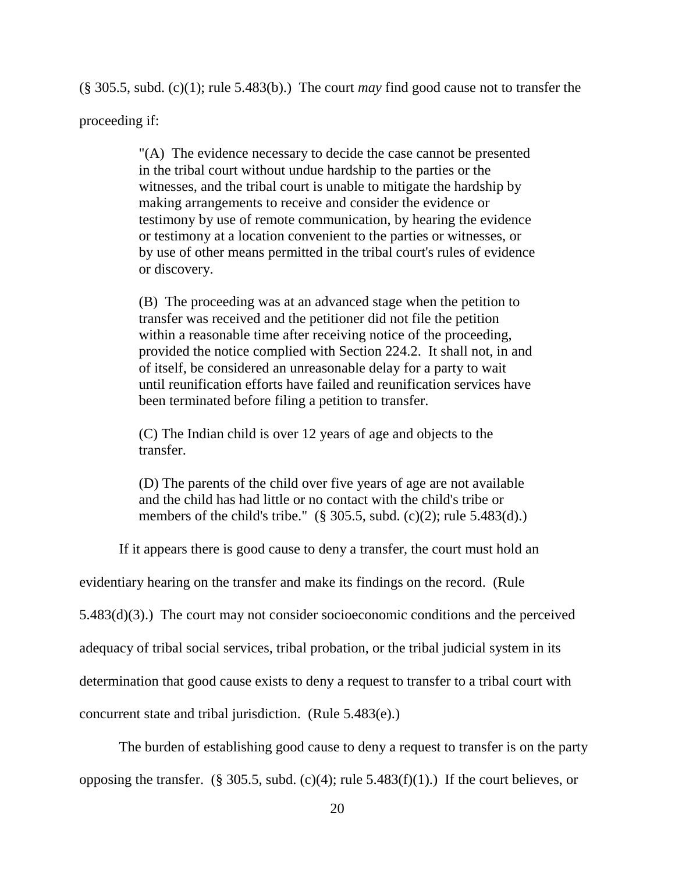(§ 305.5, subd. (c)(1); rule 5.483(b).) The court *may* find good cause not to transfer the

proceeding if:

"(A) The evidence necessary to decide the case cannot be presented in the tribal court without undue hardship to the parties or the witnesses, and the tribal court is unable to mitigate the hardship by making arrangements to receive and consider the evidence or testimony by use of remote communication, by hearing the evidence or testimony at a location convenient to the parties or witnesses, or by use of other means permitted in the tribal court's rules of evidence or discovery.

(B) The proceeding was at an advanced stage when the petition to transfer was received and the petitioner did not file the petition within a reasonable time after receiving notice of the proceeding, provided the notice complied with Section 224.2. It shall not, in and of itself, be considered an unreasonable delay for a party to wait until reunification efforts have failed and reunification services have been terminated before filing a petition to transfer.

(C) The Indian child is over 12 years of age and objects to the transfer.

(D) The parents of the child over five years of age are not available and the child has had little or no contact with the child's tribe or members of the child's tribe."  $(\S$  305.5, subd.  $(c)(2)$ ; rule 5.483(d).)

If it appears there is good cause to deny a transfer, the court must hold an

evidentiary hearing on the transfer and make its findings on the record. (Rule

5.483(d)(3).) The court may not consider socioeconomic conditions and the perceived

adequacy of tribal social services, tribal probation, or the tribal judicial system in its

determination that good cause exists to deny a request to transfer to a tribal court with

concurrent state and tribal jurisdiction. (Rule 5.483(e).)

The burden of establishing good cause to deny a request to transfer is on the party

opposing the transfer. (§ 305.5, subd. (c)(4); rule  $5.483(f)(1)$ .) If the court believes, or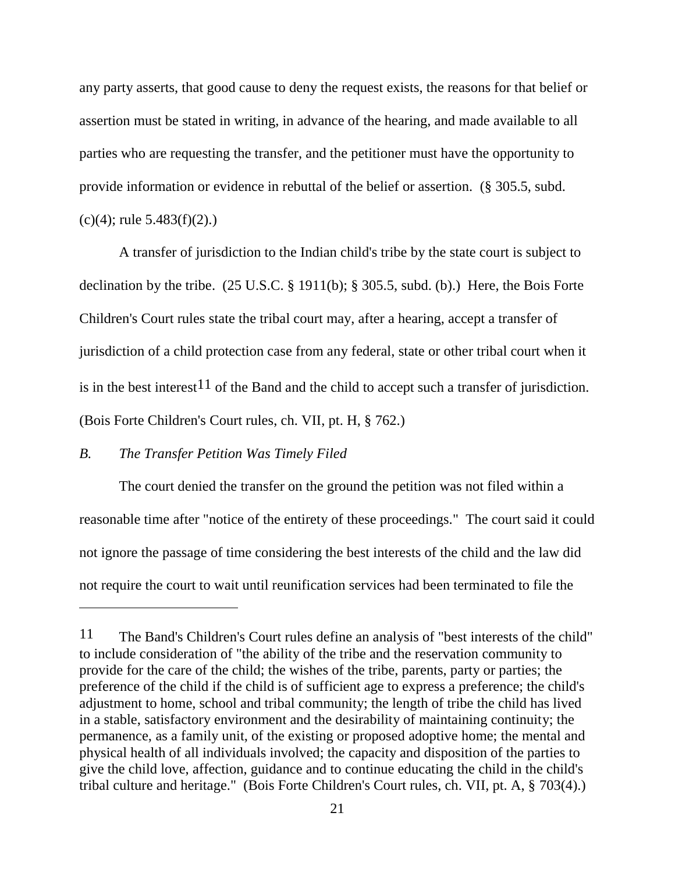any party asserts, that good cause to deny the request exists, the reasons for that belief or assertion must be stated in writing, in advance of the hearing, and made available to all parties who are requesting the transfer, and the petitioner must have the opportunity to provide information or evidence in rebuttal of the belief or assertion. (§ 305.5, subd. (c)(4); rule  $5.483(f)(2)$ .)

A transfer of jurisdiction to the Indian child's tribe by the state court is subject to declination by the tribe. (25 U.S.C. § 1911(b); § 305.5, subd. (b).) Here, the Bois Forte Children's Court rules state the tribal court may, after a hearing, accept a transfer of jurisdiction of a child protection case from any federal, state or other tribal court when it is in the best interest<sup>11</sup> of the Band and the child to accept such a transfer of jurisdiction. (Bois Forte Children's Court rules, ch. VII, pt. H, § 762.)

## *B. The Transfer Petition Was Timely Filed*

The court denied the transfer on the ground the petition was not filed within a reasonable time after "notice of the entirety of these proceedings." The court said it could not ignore the passage of time considering the best interests of the child and the law did not require the court to wait until reunification services had been terminated to file the

<sup>11</sup> The Band's Children's Court rules define an analysis of "best interests of the child" to include consideration of "the ability of the tribe and the reservation community to provide for the care of the child; the wishes of the tribe, parents, party or parties; the preference of the child if the child is of sufficient age to express a preference; the child's adjustment to home, school and tribal community; the length of tribe the child has lived in a stable, satisfactory environment and the desirability of maintaining continuity; the permanence, as a family unit, of the existing or proposed adoptive home; the mental and physical health of all individuals involved; the capacity and disposition of the parties to give the child love, affection, guidance and to continue educating the child in the child's tribal culture and heritage." (Bois Forte Children's Court rules, ch. VII, pt. A, § 703(4).)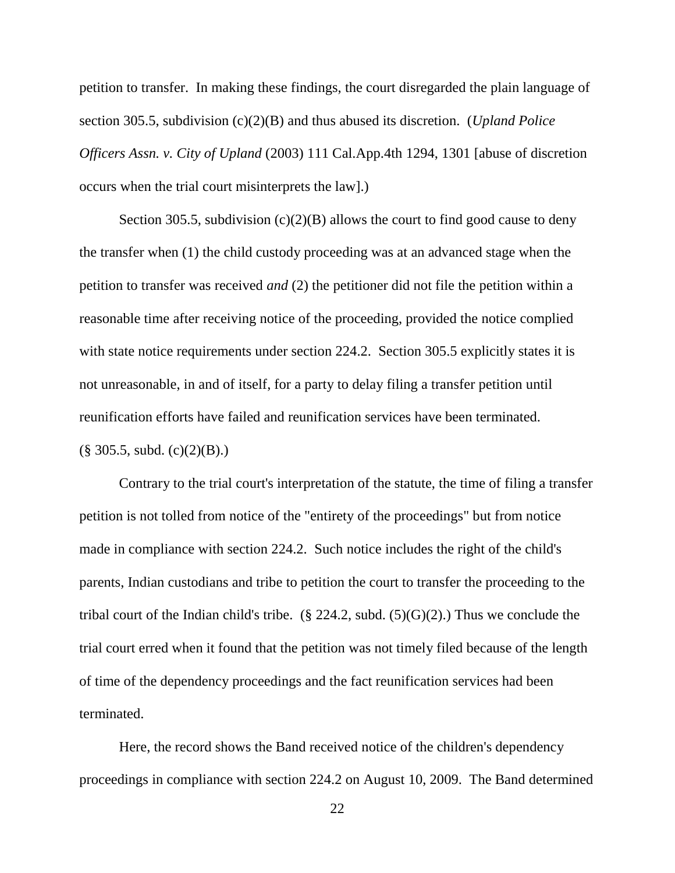petition to transfer. In making these findings, the court disregarded the plain language of section 305.5, subdivision (c)(2)(B) and thus abused its discretion. (*Upland Police Officers Assn. v. City of Upland* (2003) 111 Cal.App.4th 1294, 1301 [abuse of discretion occurs when the trial court misinterprets the law].)

Section 305.5, subdivision  $(c)(2)(B)$  allows the court to find good cause to deny the transfer when (1) the child custody proceeding was at an advanced stage when the petition to transfer was received *and* (2) the petitioner did not file the petition within a reasonable time after receiving notice of the proceeding, provided the notice complied with state notice requirements under section 224.2. Section 305.5 explicitly states it is not unreasonable, in and of itself, for a party to delay filing a transfer petition until reunification efforts have failed and reunification services have been terminated.  $(\S$  305.5, subd.  $(c)(2)(B)$ .)

Contrary to the trial court's interpretation of the statute, the time of filing a transfer petition is not tolled from notice of the "entirety of the proceedings" but from notice made in compliance with section 224.2. Such notice includes the right of the child's parents, Indian custodians and tribe to petition the court to transfer the proceeding to the tribal court of the Indian child's tribe. (§ 224.2, subd.  $(5)(G)(2)$ .) Thus we conclude the trial court erred when it found that the petition was not timely filed because of the length of time of the dependency proceedings and the fact reunification services had been terminated.

Here, the record shows the Band received notice of the children's dependency proceedings in compliance with section 224.2 on August 10, 2009. The Band determined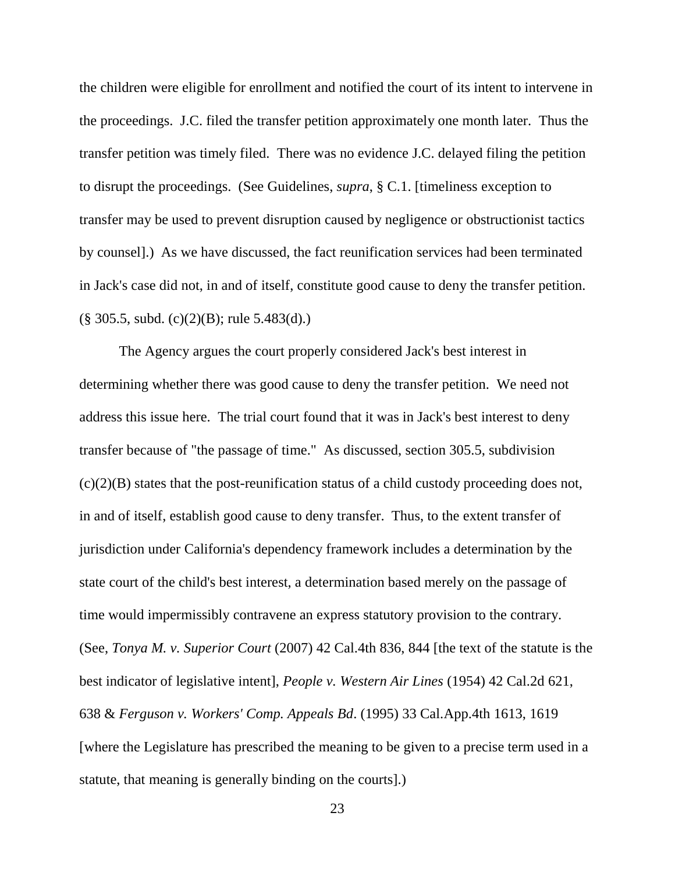the children were eligible for enrollment and notified the court of its intent to intervene in the proceedings. J.C. filed the transfer petition approximately one month later. Thus the transfer petition was timely filed. There was no evidence J.C. delayed filing the petition to disrupt the proceedings. (See Guidelines, *supra*, § C.1. [timeliness exception to transfer may be used to prevent disruption caused by negligence or obstructionist tactics by counsel].) As we have discussed, the fact reunification services had been terminated in Jack's case did not, in and of itself, constitute good cause to deny the transfer petition.  $(\S$  305.5, subd. (c)(2)(B); rule 5.483(d).)

The Agency argues the court properly considered Jack's best interest in determining whether there was good cause to deny the transfer petition. We need not address this issue here. The trial court found that it was in Jack's best interest to deny transfer because of "the passage of time." As discussed, section 305.5, subdivision  $(c)(2)(B)$  states that the post-reunification status of a child custody proceeding does not, in and of itself, establish good cause to deny transfer. Thus, to the extent transfer of jurisdiction under California's dependency framework includes a determination by the state court of the child's best interest, a determination based merely on the passage of time would impermissibly contravene an express statutory provision to the contrary. (See, *Tonya M. v. Superior Court* (2007) 42 Cal.4th 836, 844 [the text of the statute is the best indicator of legislative intent], *People v. Western Air Lines* (1954) 42 Cal.2d 621, 638 & *Ferguson v. Workers' Comp. Appeals Bd*. (1995) 33 Cal.App.4th 1613, 1619 [where the Legislature has prescribed the meaning to be given to a precise term used in a statute, that meaning is generally binding on the courts].)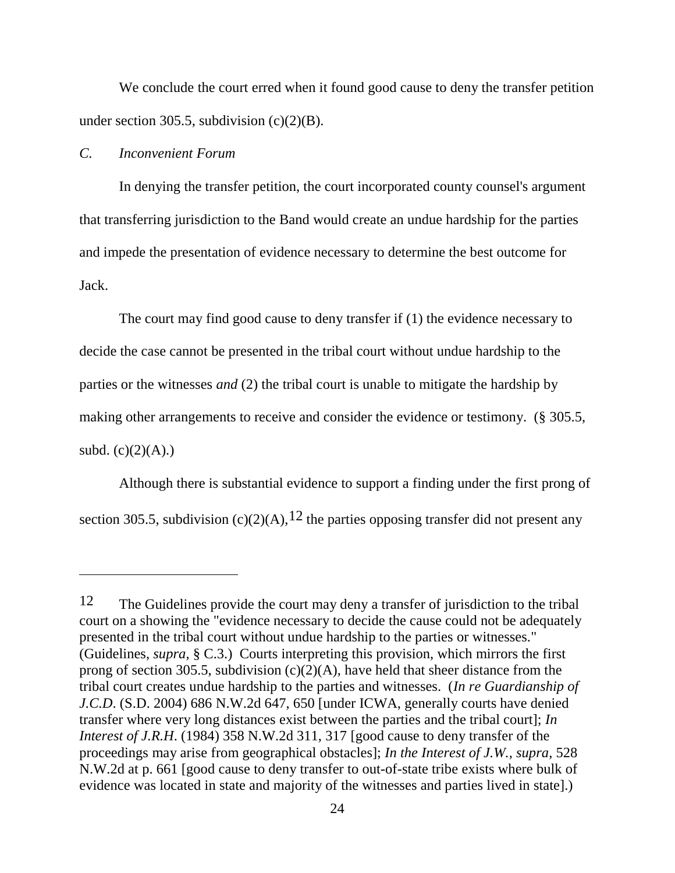We conclude the court erred when it found good cause to deny the transfer petition under section 305.5, subdivision  $(c)(2)(B)$ .

### *C. Inconvenient Forum*

In denying the transfer petition, the court incorporated county counsel's argument that transferring jurisdiction to the Band would create an undue hardship for the parties and impede the presentation of evidence necessary to determine the best outcome for Jack.

The court may find good cause to deny transfer if (1) the evidence necessary to decide the case cannot be presented in the tribal court without undue hardship to the parties or the witnesses *and* (2) the tribal court is unable to mitigate the hardship by making other arrangements to receive and consider the evidence or testimony. (§ 305.5, subd.  $(c)(2)(A)$ .)

Although there is substantial evidence to support a finding under the first prong of section 305.5, subdivision (c)(2)(A),  $12$  the parties opposing transfer did not present any

<sup>12</sup> The Guidelines provide the court may deny a transfer of jurisdiction to the tribal court on a showing the "evidence necessary to decide the cause could not be adequately presented in the tribal court without undue hardship to the parties or witnesses." (Guidelines, *supra*, § C.3.) Courts interpreting this provision, which mirrors the first prong of section 305.5, subdivision  $(c)(2)(A)$ , have held that sheer distance from the tribal court creates undue hardship to the parties and witnesses. (*In re Guardianship of J.C.D*. (S.D. 2004) 686 N.W.2d 647, 650 [under ICWA, generally courts have denied transfer where very long distances exist between the parties and the tribal court]; *In Interest of J.R.H*. (1984) 358 N.W.2d 311, 317 [good cause to deny transfer of the proceedings may arise from geographical obstacles]; *In the Interest of J.W., supra*, 528 N.W.2d at p. 661 [good cause to deny transfer to out-of-state tribe exists where bulk of evidence was located in state and majority of the witnesses and parties lived in state].)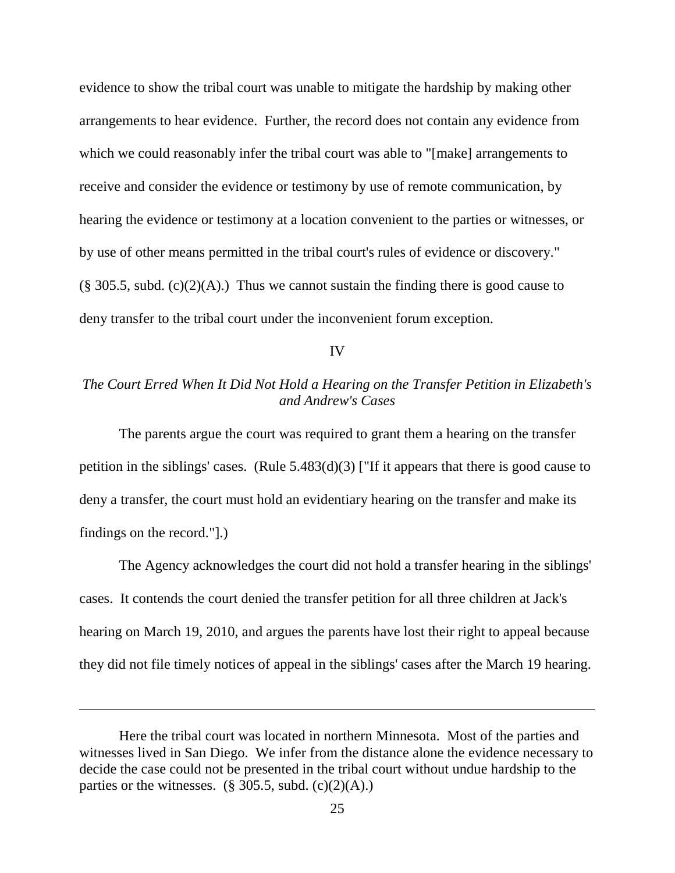evidence to show the tribal court was unable to mitigate the hardship by making other arrangements to hear evidence. Further, the record does not contain any evidence from which we could reasonably infer the tribal court was able to "[make] arrangements to receive and consider the evidence or testimony by use of remote communication, by hearing the evidence or testimony at a location convenient to the parties or witnesses, or by use of other means permitted in the tribal court's rules of evidence or discovery."  $(\S$  305.5, subd. (c)(2)(A).) Thus we cannot sustain the finding there is good cause to deny transfer to the tribal court under the inconvenient forum exception.

#### IV

# *The Court Erred When It Did Not Hold a Hearing on the Transfer Petition in Elizabeth's and Andrew's Cases*

The parents argue the court was required to grant them a hearing on the transfer petition in the siblings' cases. (Rule 5.483(d)(3) ["If it appears that there is good cause to deny a transfer, the court must hold an evidentiary hearing on the transfer and make its findings on the record."].)

The Agency acknowledges the court did not hold a transfer hearing in the siblings' cases. It contends the court denied the transfer petition for all three children at Jack's hearing on March 19, 2010, and argues the parents have lost their right to appeal because they did not file timely notices of appeal in the siblings' cases after the March 19 hearing.

Here the tribal court was located in northern Minnesota. Most of the parties and witnesses lived in San Diego. We infer from the distance alone the evidence necessary to decide the case could not be presented in the tribal court without undue hardship to the parties or the witnesses. ( $\S 305.5$ , subd. (c)(2)(A).)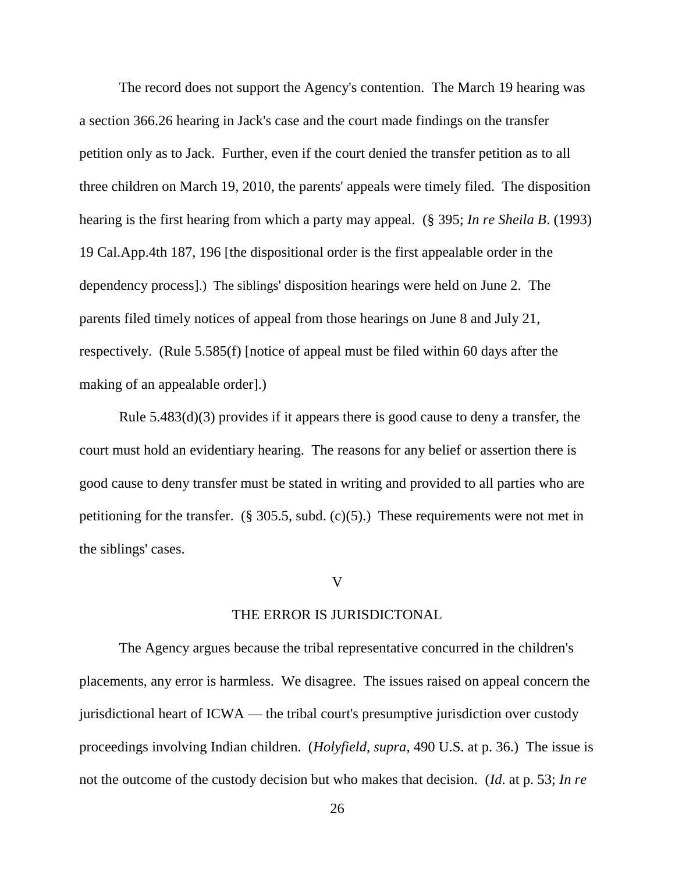The record does not support the Agency's contention. The March 19 hearing was a section 366.26 hearing in Jack's case and the court made findings on the transfer petition only as to Jack. Further, even if the court denied the transfer petition as to all three children on March 19, 2010, the parents' appeals were timely filed. The disposition hearing is the first hearing from which a party may appeal. (§ 395; *In re Sheila B*. (1993) 19 Cal.App.4th 187, 196 [the dispositional order is the first appealable order in the dependency process].) The siblings' disposition hearings were held on June 2. The parents filed timely notices of appeal from those hearings on June 8 and July 21, respectively. (Rule 5.585(f) [notice of appeal must be filed within 60 days after the making of an appealable order].)

Rule 5.483(d)(3) provides if it appears there is good cause to deny a transfer, the court must hold an evidentiary hearing. The reasons for any belief or assertion there is good cause to deny transfer must be stated in writing and provided to all parties who are petitioning for the transfer.  $(\S$  305.5, subd.  $(c)(5)$ .) These requirements were not met in the siblings' cases.

# V

## THE ERROR IS JURISDICTONAL

The Agency argues because the tribal representative concurred in the children's placements, any error is harmless. We disagree. The issues raised on appeal concern the jurisdictional heart of ICWA — the tribal court's presumptive jurisdiction over custody proceedings involving Indian children. (*Holyfield*, *supra*, 490 U.S. at p. 36.) The issue is not the outcome of the custody decision but who makes that decision. (*Id*. at p. 53; *In re*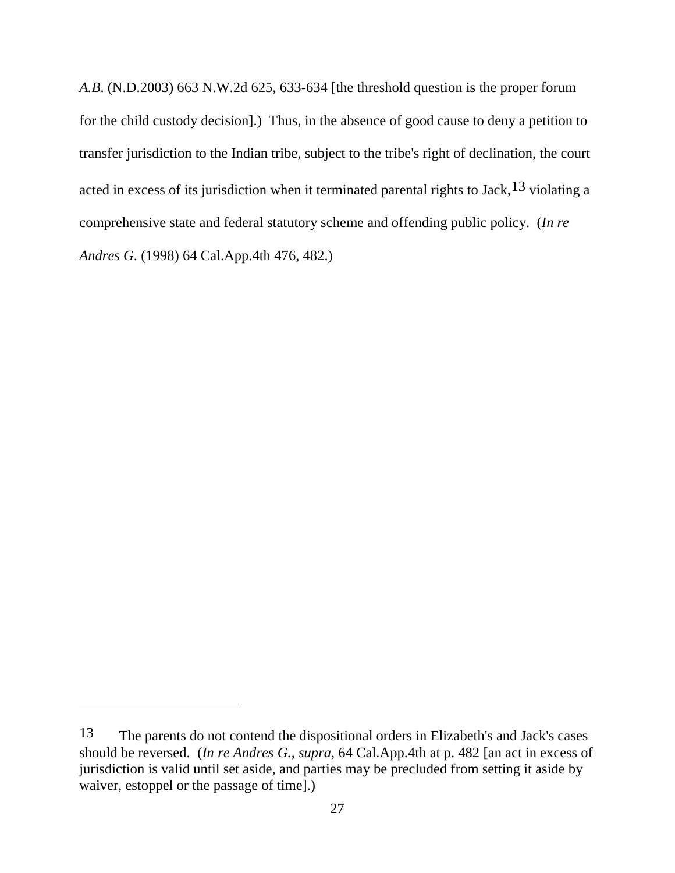*A.B*. (N.D.2003) 663 N.W.2d 625, 633-634 [the threshold question is the proper forum for the child custody decision].) Thus, in the absence of good cause to deny a petition to transfer jurisdiction to the Indian tribe, subject to the tribe's right of declination, the court acted in excess of its jurisdiction when it terminated parental rights to Jack,<sup>13</sup> violating a comprehensive state and federal statutory scheme and offending public policy. (*In re Andres G*. (1998) 64 Cal.App.4th 476, 482.)

<sup>13</sup> The parents do not contend the dispositional orders in Elizabeth's and Jack's cases should be reversed. (*In re Andres G.*, *supra*, 64 Cal.App.4th at p. 482 [an act in excess of jurisdiction is valid until set aside, and parties may be precluded from setting it aside by waiver, estoppel or the passage of time].)